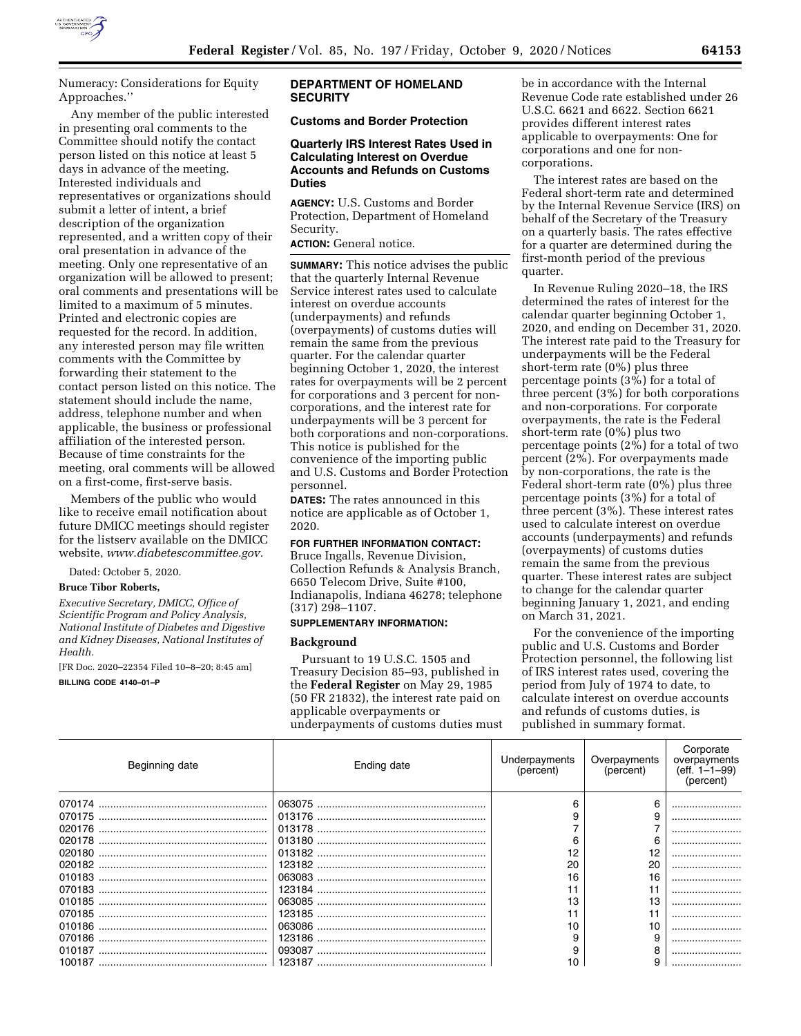

Numeracy: Considerations for Equity Approaches.''

Any member of the public interested in presenting oral comments to the Committee should notify the contact person listed on this notice at least 5 days in advance of the meeting. Interested individuals and representatives or organizations should submit a letter of intent, a brief description of the organization represented, and a written copy of their oral presentation in advance of the meeting. Only one representative of an organization will be allowed to present; oral comments and presentations will be limited to a maximum of 5 minutes. Printed and electronic copies are requested for the record. In addition, any interested person may file written comments with the Committee by forwarding their statement to the contact person listed on this notice. The statement should include the name, address, telephone number and when applicable, the business or professional affiliation of the interested person. Because of time constraints for the meeting, oral comments will be allowed on a first-come, first-serve basis.

Members of the public who would like to receive email notification about future DMICC meetings should register for the listserv available on the DMICC website, *[www.diabetescommittee.gov.](http://www.diabetescommittee.gov)* 

Dated: October 5, 2020.

#### **Bruce Tibor Roberts,**

*Executive Secretary, DMICC, Office of Scientific Program and Policy Analysis, National Institute of Diabetes and Digestive and Kidney Diseases, National Institutes of Health.* 

[FR Doc. 2020–22354 Filed 10–8–20; 8:45 am]

**BILLING CODE 4140–01–P** 

## **DEPARTMENT OF HOMELAND SECURITY**

# **Customs and Border Protection**

## **Quarterly IRS Interest Rates Used in Calculating Interest on Overdue Accounts and Refunds on Customs Duties**

**AGENCY:** U.S. Customs and Border Protection, Department of Homeland Security.

**ACTION:** General notice.

**SUMMARY:** This notice advises the public that the quarterly Internal Revenue Service interest rates used to calculate interest on overdue accounts (underpayments) and refunds (overpayments) of customs duties will remain the same from the previous quarter. For the calendar quarter beginning October 1, 2020, the interest rates for overpayments will be 2 percent for corporations and 3 percent for noncorporations, and the interest rate for underpayments will be 3 percent for both corporations and non-corporations. This notice is published for the convenience of the importing public and U.S. Customs and Border Protection personnel.

**DATES:** The rates announced in this notice are applicable as of October 1, 2020.

#### **FOR FURTHER INFORMATION CONTACT:**

Bruce Ingalls, Revenue Division, Collection Refunds & Analysis Branch, 6650 Telecom Drive, Suite #100, Indianapolis, Indiana 46278; telephone (317) 298–1107.

## **SUPPLEMENTARY INFORMATION:**

#### **Background**

Pursuant to 19 U.S.C. 1505 and Treasury Decision 85–93, published in the **Federal Register** on May 29, 1985 (50 FR 21832), the interest rate paid on applicable overpayments or underpayments of customs duties must

be in accordance with the Internal Revenue Code rate established under 26 U.S.C. 6621 and 6622. Section 6621 provides different interest rates applicable to overpayments: One for corporations and one for noncorporations.

The interest rates are based on the Federal short-term rate and determined by the Internal Revenue Service (IRS) on behalf of the Secretary of the Treasury on a quarterly basis. The rates effective for a quarter are determined during the first-month period of the previous quarter.

In Revenue Ruling 2020–18, the IRS determined the rates of interest for the calendar quarter beginning October 1, 2020, and ending on December 31, 2020. The interest rate paid to the Treasury for underpayments will be the Federal short-term rate (0%) plus three percentage points (3%) for a total of three percent (3%) for both corporations and non-corporations. For corporate overpayments, the rate is the Federal short-term rate (0%) plus two percentage points  $(2\tilde{\%})$  for a total of two percent (2%). For overpayments made by non-corporations, the rate is the Federal short-term rate (0%) plus three percentage points (3%) for a total of three percent (3%). These interest rates used to calculate interest on overdue accounts (underpayments) and refunds (overpayments) of customs duties remain the same from the previous quarter. These interest rates are subject to change for the calendar quarter beginning January 1, 2021, and ending on March 31, 2021.

For the convenience of the importing public and U.S. Customs and Border Protection personnel, the following list of IRS interest rates used, covering the period from July of 1974 to date, to calculate interest on overdue accounts and refunds of customs duties, is published in summary format.

| Beginning date | Ending date | Underpayments<br>(percent) | Overpayments<br>(percent) | Corporate<br>overpayments<br>$(eff. 1-1-99)$<br>(percent) |
|----------------|-------------|----------------------------|---------------------------|-----------------------------------------------------------|
|                |             |                            |                           |                                                           |
|                |             |                            |                           |                                                           |
|                |             |                            |                           |                                                           |
| 020178         |             |                            |                           |                                                           |
|                |             |                            |                           |                                                           |
|                |             | 20                         | 20                        |                                                           |
|                |             | 16                         | 16                        |                                                           |
|                |             |                            |                           |                                                           |
| 010185         |             | 13                         | 13                        |                                                           |
| 070185         |             |                            |                           |                                                           |
| 010186         |             | 10                         |                           |                                                           |
| 070186         |             |                            |                           |                                                           |
| 010187         |             |                            |                           |                                                           |
|                |             | 10                         |                           |                                                           |